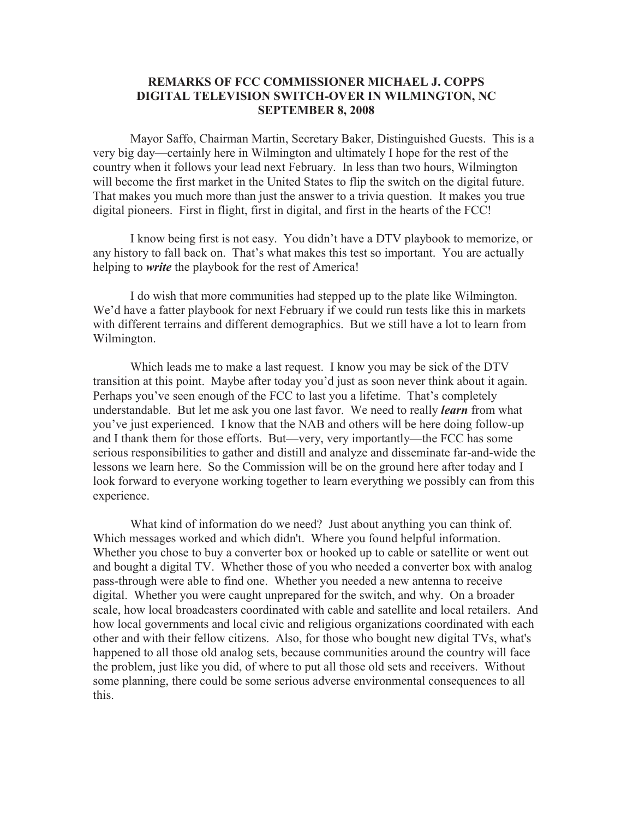## **REMARKS OF FCC COMMISSIONER MICHAEL J. COPPS DIGITAL TELEVISION SWITCH-OVER IN WILMINGTON, NC SEPTEMBER 8, 2008**

Mayor Saffo, Chairman Martin, Secretary Baker, Distinguished Guests. This is a very big day—certainly here in Wilmington and ultimately I hope for the rest of the country when it follows your lead next February. In less than two hours, Wilmington will become the first market in the United States to flip the switch on the digital future. That makes you much more than just the answer to a trivia question. It makes you true digital pioneers. First in flight, first in digital, and first in the hearts of the FCC!

I know being first is not easy. You didn't have a DTV playbook to memorize, or any history to fall back on. That's what makes this test so important. You are actually helping to *write* the playbook for the rest of America!

I do wish that more communities had stepped up to the plate like Wilmington. We'd have a fatter playbook for next February if we could run tests like this in markets with different terrains and different demographics. But we still have a lot to learn from Wilmington.

Which leads me to make a last request. I know you may be sick of the DTV transition at this point. Maybe after today you'd just as soon never think about it again. Perhaps you've seen enough of the FCC to last you a lifetime. That's completely understandable. But let me ask you one last favor. We need to really *learn* from what you've just experienced. I know that the NAB and others will be here doing follow-up and I thank them for those efforts. But—very, very importantly—the FCC has some serious responsibilities to gather and distill and analyze and disseminate far-and-wide the lessons we learn here. So the Commission will be on the ground here after today and I look forward to everyone working together to learn everything we possibly can from this experience.

What kind of information do we need? Just about anything you can think of. Which messages worked and which didn't. Where you found helpful information. Whether you chose to buy a converter box or hooked up to cable or satellite or went out and bought a digital TV. Whether those of you who needed a converter box with analog pass-through were able to find one. Whether you needed a new antenna to receive digital. Whether you were caught unprepared for the switch, and why. On a broader scale, how local broadcasters coordinated with cable and satellite and local retailers. And how local governments and local civic and religious organizations coordinated with each other and with their fellow citizens. Also, for those who bought new digital TVs, what's happened to all those old analog sets, because communities around the country will face the problem, just like you did, of where to put all those old sets and receivers. Without some planning, there could be some serious adverse environmental consequences to all this.